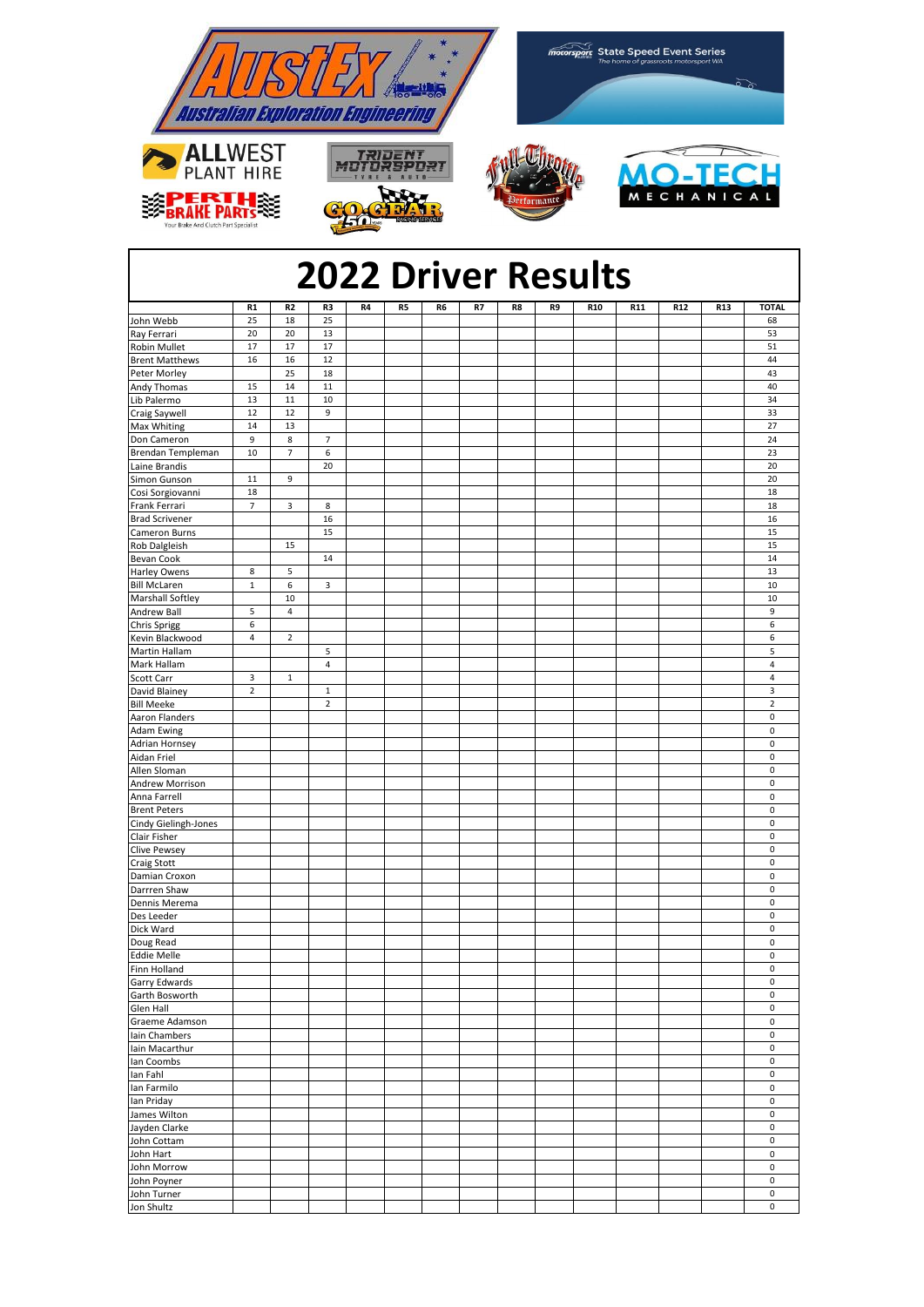

## **2022 Driver Results**

|                                            | R1                       | R <sub>2</sub> | R3             | R4 | R5 | R6 | R7 | R8 | R9 | <b>R10</b> | R11 | R12 | <b>R13</b> | <b>TOTAL</b>               |
|--------------------------------------------|--------------------------|----------------|----------------|----|----|----|----|----|----|------------|-----|-----|------------|----------------------------|
| John Webb                                  | 25                       | 18             | 25             |    |    |    |    |    |    |            |     |     |            | 68                         |
| Ray Ferrari                                | 20                       | 20             | 13             |    |    |    |    |    |    |            |     |     |            | 53                         |
| Robin Mullet                               | 17                       | 17             | 17             |    |    |    |    |    |    |            |     |     |            | 51                         |
| <b>Brent Matthews</b>                      | 16                       | 16             | 12             |    |    |    |    |    |    |            |     |     |            | 44                         |
| Peter Morley                               |                          | 25             | 18             |    |    |    |    |    |    |            |     |     |            | 43                         |
| Andy Thomas                                | 15                       | 14             | $11\,$         |    |    |    |    |    |    |            |     |     |            | 40                         |
| Lib Palermo                                | 13                       | 11             | 10             |    |    |    |    |    |    |            |     |     |            | 34                         |
| Craig Saywell                              | 12                       | 12             | 9              |    |    |    |    |    |    |            |     |     |            | 33                         |
| Max Whiting                                | 14                       | 13             |                |    |    |    |    |    |    |            |     |     |            | 27                         |
| Don Cameron                                | 9                        | 8              | $\overline{7}$ |    |    |    |    |    |    |            |     |     |            | 24                         |
| Brendan Templeman                          | $10\,$                   | $\overline{7}$ | 6              |    |    |    |    |    |    |            |     |     |            | 23                         |
| Laine Brandis                              |                          |                | 20             |    |    |    |    |    |    |            |     |     |            | 20                         |
| Simon Gunson                               | $11\,$                   | 9              |                |    |    |    |    |    |    |            |     |     |            | 20                         |
| Cosi Sorgiovanni                           | 18                       |                |                |    |    |    |    |    |    |            |     |     |            | 18                         |
| Frank Ferrari                              | $\overline{\phantom{a}}$ | 3              | 8              |    |    |    |    |    |    |            |     |     |            | 18                         |
| <b>Brad Scrivener</b>                      |                          |                | 16             |    |    |    |    |    |    |            |     |     |            | 16                         |
| Cameron Burns                              |                          |                | 15             |    |    |    |    |    |    |            |     |     |            | 15                         |
| Rob Dalgleish                              |                          | 15             |                |    |    |    |    |    |    |            |     |     |            | 15<br>14                   |
| Bevan Cook                                 | 8                        |                | 14             |    |    |    |    |    |    |            |     |     |            | 13                         |
| <b>Harley Owens</b><br><b>Bill McLaren</b> | $\mathbf 1$              | 5<br>6         | $\mathbf{3}$   |    |    |    |    |    |    |            |     |     |            | 10                         |
| <b>Marshall Softley</b>                    |                          | 10             |                |    |    |    |    |    |    |            |     |     |            | 10                         |
| Andrew Ball                                | 5                        | $\overline{4}$ |                |    |    |    |    |    |    |            |     |     |            | 9                          |
| <b>Chris Sprigg</b>                        | 6                        |                |                |    |    |    |    |    |    |            |     |     |            | $\boldsymbol{6}$           |
| Kevin Blackwood                            | $\pmb{4}$                | $\mathbf 2$    |                |    |    |    |    |    |    |            |     |     |            | 6                          |
| Martin Hallam                              |                          |                | 5              |    |    |    |    |    |    |            |     |     |            | 5                          |
| Mark Hallam                                |                          |                | $\pmb{4}$      |    |    |    |    |    |    |            |     |     |            | $\overline{4}$             |
| Scott Carr                                 | 3                        | $\mathbf 1$    |                |    |    |    |    |    |    |            |     |     |            | $\overline{4}$             |
| David Blainey                              | $\overline{2}$           |                | $\mathbf{1}$   |    |    |    |    |    |    |            |     |     |            | 3                          |
| <b>Bill Meeke</b>                          |                          |                | $\mathbf 2$    |    |    |    |    |    |    |            |     |     |            | $\sqrt{2}$                 |
| Aaron Flanders                             |                          |                |                |    |    |    |    |    |    |            |     |     |            | $\pmb{0}$                  |
| <b>Adam Ewing</b>                          |                          |                |                |    |    |    |    |    |    |            |     |     |            | $\pmb{0}$                  |
| <b>Adrian Hornsey</b>                      |                          |                |                |    |    |    |    |    |    |            |     |     |            | $\mathbf 0$                |
| Aidan Friel                                |                          |                |                |    |    |    |    |    |    |            |     |     |            | $\pmb{0}$                  |
| Allen Sloman                               |                          |                |                |    |    |    |    |    |    |            |     |     |            | $\mathbf 0$                |
| Andrew Morrison                            |                          |                |                |    |    |    |    |    |    |            |     |     |            | $\mathbf 0$                |
| Anna Farrell                               |                          |                |                |    |    |    |    |    |    |            |     |     |            | $\mathbf 0$                |
| <b>Brent Peters</b>                        |                          |                |                |    |    |    |    |    |    |            |     |     |            | $\pmb{0}$                  |
| Cindy Gielingh-Jones                       |                          |                |                |    |    |    |    |    |    |            |     |     |            | $\pmb{0}$                  |
| Clair Fisher                               |                          |                |                |    |    |    |    |    |    |            |     |     |            | $\pmb{0}$                  |
| <b>Clive Pewsey</b>                        |                          |                |                |    |    |    |    |    |    |            |     |     |            | $\mathbf 0$                |
| Craig Stott                                |                          |                |                |    |    |    |    |    |    |            |     |     |            | $\mathbf 0$                |
| Damian Croxon                              |                          |                |                |    |    |    |    |    |    |            |     |     |            | $\mathbf 0$                |
| Darrren Shaw                               |                          |                |                |    |    |    |    |    |    |            |     |     |            | $\pmb{0}$                  |
| Dennis Merema                              |                          |                |                |    |    |    |    |    |    |            |     |     |            | $\pmb{0}$                  |
| Des Leeder                                 |                          |                |                |    |    |    |    |    |    |            |     |     |            | $\mathbf 0$                |
| Dick Ward                                  |                          |                |                |    |    |    |    |    |    |            |     |     |            | $\mathbf 0$                |
| Doug Read                                  |                          |                |                |    |    |    |    |    |    |            |     |     |            | $\mathbf 0$                |
| <b>Eddie Melle</b>                         |                          |                |                |    |    |    |    |    |    |            |     |     |            | $\pmb{0}$                  |
| Finn Holland                               |                          |                |                |    |    |    |    |    |    |            |     |     |            | $\pmb{0}$                  |
| Garry Edwards                              |                          |                |                |    |    |    |    |    |    |            |     |     |            | 0                          |
| Garth Bosworth                             |                          |                |                |    |    |    |    |    |    |            |     |     |            | $\mathbf 0$                |
| Glen Hall                                  |                          |                |                |    |    |    |    |    |    |            |     |     |            | $\pmb{0}$                  |
| Graeme Adamson                             |                          |                |                |    |    |    |    |    |    |            |     |     |            | $\mathsf 0$<br>$\mathbf 0$ |
| Iain Chambers                              |                          |                |                |    |    |    |    |    |    |            |     |     |            | $\mathsf 0$                |
| lain Macarthur                             |                          |                |                |    |    |    |    |    |    |            |     |     |            | 0                          |
| Ian Coombs<br>lan Fahl                     |                          |                |                |    |    |    |    |    |    |            |     |     |            | $\pmb{0}$                  |
| lan Farmilo                                |                          |                |                |    |    |    |    |    |    |            |     |     |            | $\pmb{0}$                  |
| lan Priday                                 |                          |                |                |    |    |    |    |    |    |            |     |     |            | $\mathsf 0$                |
| James Wilton                               |                          |                |                |    |    |    |    |    |    |            |     |     |            | $\mathsf{O}\xspace$        |
| Jayden Clarke                              |                          |                |                |    |    |    |    |    |    |            |     |     |            | $\mathbf 0$                |
| John Cottam                                |                          |                |                |    |    |    |    |    |    |            |     |     |            | 0                          |
| John Hart                                  |                          |                |                |    |    |    |    |    |    |            |     |     |            | 0                          |
| John Morrow                                |                          |                |                |    |    |    |    |    |    |            |     |     |            | $\pmb{0}$                  |
| John Poyner                                |                          |                |                |    |    |    |    |    |    |            |     |     |            | $\mathsf{O}\xspace$        |
| John Turner                                |                          |                |                |    |    |    |    |    |    |            |     |     |            | $\mathsf 0$                |
| Jon Shultz                                 |                          |                |                |    |    |    |    |    |    |            |     |     |            | 0                          |
|                                            |                          |                |                |    |    |    |    |    |    |            |     |     |            |                            |